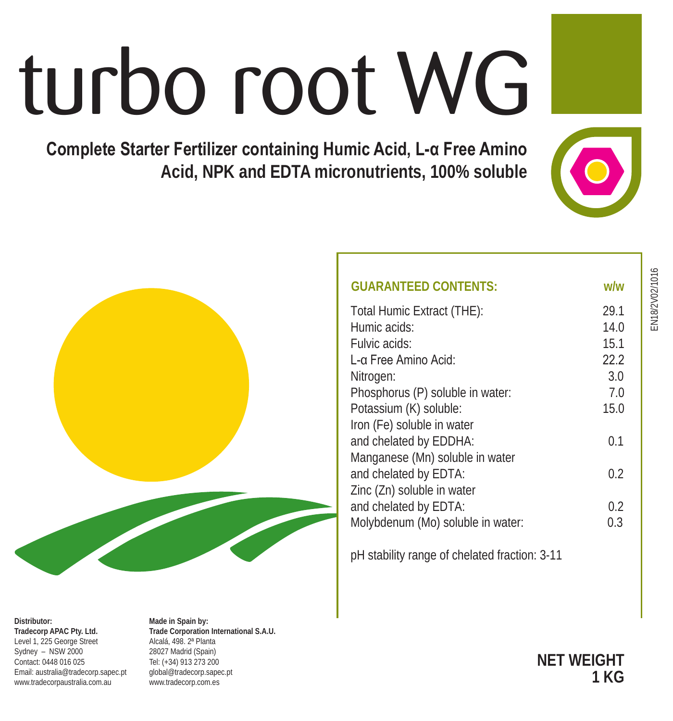# turbo root WG

**Complete Starter Fertilizer containing Humic Acid, L-α Free Amino Acid, NPK and EDTA micronutrients, 100% soluble**



**NET WEIGHT 1 KG**



|                                | Potassium (K) solubl<br>Iron (Fe) soluble in v<br>and chelated by EDI<br>Manganese (Mn) sol<br>and chelated by ED1<br>Zinc (Zn) soluble in y<br>and chelated by ED1<br>Molybdenum (Mo) so<br>pH stability range of |
|--------------------------------|--------------------------------------------------------------------------------------------------------------------------------------------------------------------------------------------------------------------|
| ١V:<br>ι Ι Δ 2 Ienoitematri no |                                                                                                                                                                                                                    |

| <b>GUARANTEED CONTENTS:</b>                   | w/w  |
|-----------------------------------------------|------|
| Total Humic Extract (THE):                    | 29.1 |
| Humic acids:                                  | 14.0 |
| Fulvic acids:                                 | 15.1 |
| L-α Free Amino Acid:                          | 22.2 |
| Nitrogen:                                     | 3.0  |
| Phosphorus (P) soluble in water:              | 7.0  |
| Potassium (K) soluble:                        | 15.0 |
| Iron (Fe) soluble in water                    |      |
| and chelated by EDDHA:                        | 0.1  |
| Manganese (Mn) soluble in water               |      |
| and chelated by EDTA:                         | 0.2  |
| Zinc (Zn) soluble in water                    |      |
| and chelated by EDTA:                         | 0.2  |
| Molybdenum (Mo) soluble in water:             | 0.3  |
|                                               |      |
| nH stability range of chelated fraction: 3-11 |      |

EN18/2V02/1016 EN18/2V02/1016

#### **Distributor: Tradecorp APAC Pty. Ltd.** Level 1, 225 George Street Sydney – NSW 2000 Contact: 0448 016 025 Email: australia@tradecorp.sapec.pt www.tradecorpaustralia.com.au

**Made in Spain by Trade Corporation International S.A.U.** Alcalá, 498. 2ª Planta 28027 Madrid (Spain) Tel: (+34) 913 273 200 global@tradecorp.sapec.pt www.tradecorp.com.es